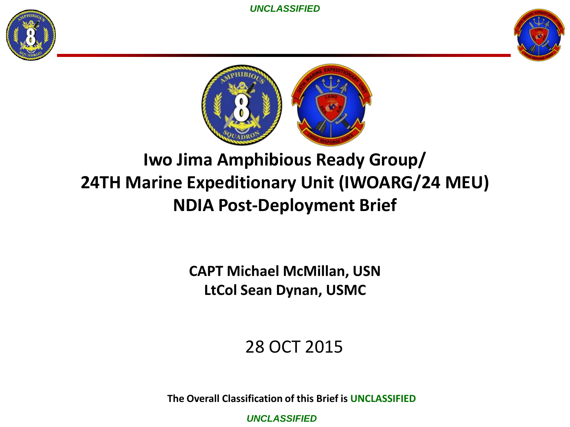





### **Iwo Jima Amphibious Ready Group/ 24TH Marine Expeditionary Unit (IWOARG/24 MEU) NDIA Post-Deployment Brief**

**CAPT Michael McMillan, USN LtCol Sean Dynan, USMC**

### 28 OCT 2015

**The Overall Classification of this Brief is UNCLASSIFIED**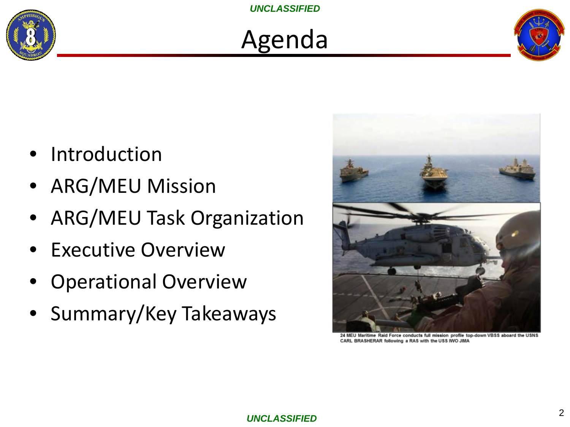

## Agenda



- Introduction
- ARG/MEU Mission
- ARG/MEU Task Organization
- **Executive Overview**
- Operational Overview
- Summary/Key Takeaways



24 MEU Maritime Raid Force conducts full mission profile top-down VBSS aboard the USNS CARL BRASHERAR following a RAS with the USS IWO JIMA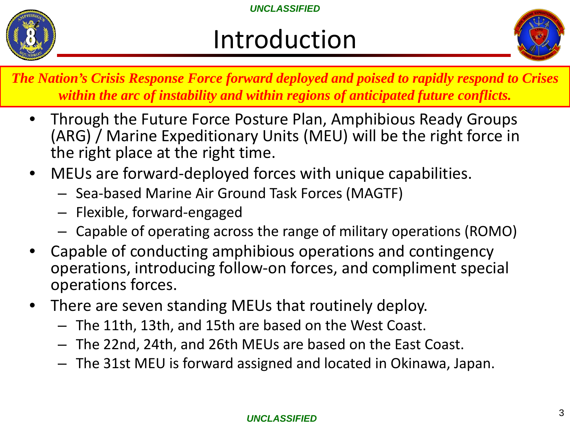

## Introduction



- *The Nation's Crisis Response Force forward deployed and poised to rapidly respond to Crises within the arc of instability and within regions of anticipated future conflicts.* 
	- Through the Future Force Posture Plan, Amphibious Ready Groups (ARG) / Marine Expeditionary Units (MEU) will be the right force in the right place at the right time.
	- MEUs are forward-deployed forces with unique capabilities.
		- Sea-based Marine Air Ground Task Forces (MAGTF)
		- Flexible, forward-engaged
		- Capable of operating across the range of military operations (ROMO)
	- Capable of conducting amphibious operations and contingency operations, introducing follow-on forces, and compliment special operations forces.
	- There are seven standing MEUs that routinely deploy.
		- The 11th, 13th, and 15th are based on the West Coast.
		- The 22nd, 24th, and 26th MEUs are based on the East Coast.
		- The 31st MEU is forward assigned and located in Okinawa, Japan.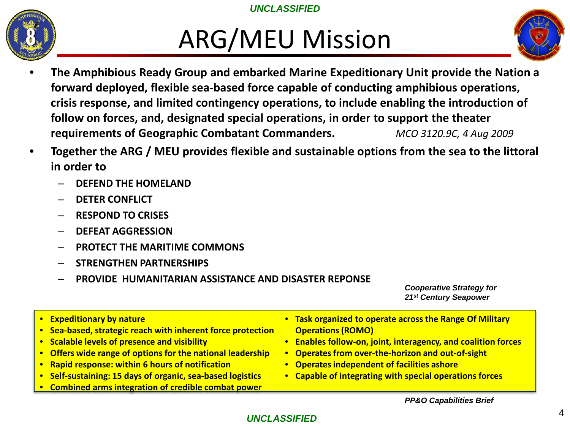

## ARG/MEU Mission



- **The Amphibious Ready Group and embarked Marine Expeditionary Unit provide the Nation a forward deployed, flexible sea-based force capable of conducting amphibious operations, crisis response, and limited contingency operations, to include enabling the introduction of follow on forces, and, designated special operations, in order to support the theater requirements of Geographic Combatant Commanders.** *MCO 3120.9C, 4 Aug 2009*
- **Together the ARG / MEU provides flexible and sustainable options from the sea to the littoral in order to**
	- **DEFEND THE HOMELAND**
	- **DETER CONFLICT**
	- **RESPOND TO CRISES**
	- **DEFEAT AGGRESSION**
	- **PROTECT THE MARITIME COMMONS**
	- **STRENGTHEN PARTNERSHIPS**
	- **PROVIDE HUMANITARIAN ASSISTANCE AND DISASTER REPONSE**

*Cooperative Strategy for 21st Century Seapower*

- **Expeditionary by nature**
- **Sea-based, strategic reach with inherent force protection**
- **Scalable levels of presence and visibility**
- **Offers wide range of options for the national leadership**
- **Rapid response: within 6 hours of notification**
- **Self-sustaining: 15 days of organic, sea-based logistics**
- **Combined arms integration of credible combat power**
- **Task organized to operate across the Range Of Military Operations (ROMO)**
- **Enables follow-on, joint, interagency, and coalition forces**
- **Operates from over-the-horizon and out-of-sight**
- **Operates independent of facilities ashore**
- **Capable of integrating with special operations forces**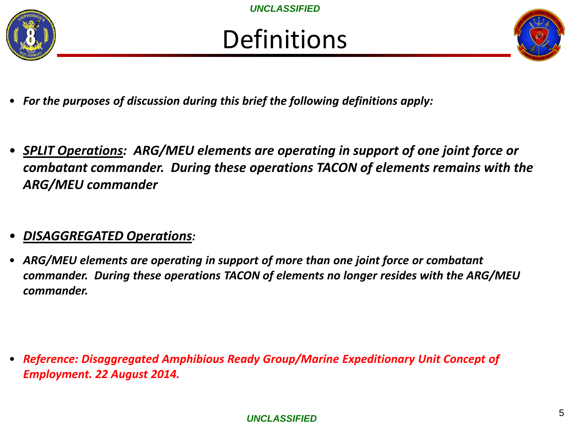



- *For the purposes of discussion during this brief the following definitions apply:*
- *SPLIT Operations: ARG/MEU elements are operating in support of one joint force or combatant commander. During these operations TACON of elements remains with the ARG/MEU commander*

### • *DISAGGREGATED Operations:*

• *ARG/MEU elements are operating in support of more than one joint force or combatant commander. During these operations TACON of elements no longer resides with the ARG/MEU commander.*

• *Reference: Disaggregated Amphibious Ready Group/Marine Expeditionary Unit Concept of Employment. 22 August 2014.*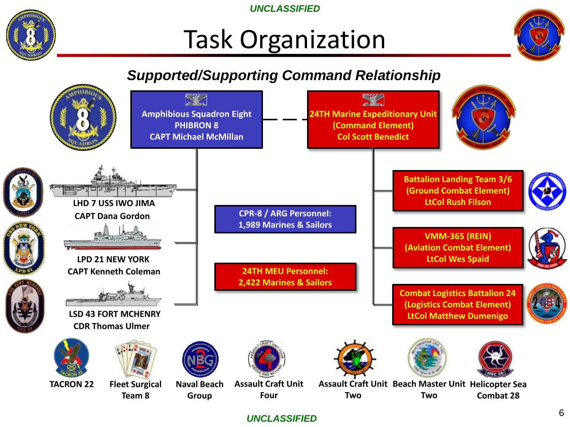

## Task Organization



### *Supported/Supporting Command Relationship*

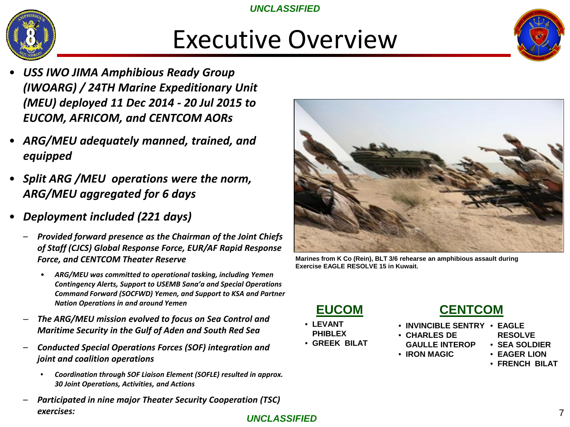

## Executive Overview



- *USS IWO JIMA Amphibious Ready Group (IWOARG) / 24TH Marine Expeditionary Unit (MEU) deployed 11 Dec 2014 - 20 Jul 2015 to EUCOM, AFRICOM, and CENTCOM AORs*
- *ARG/MEU adequately manned, trained, and equipped*
- *Split ARG /MEU operations were the norm, ARG/MEU aggregated for 6 days*
- *Deployment included (221 days)*
	- *Provided forward presence as the Chairman of the Joint Chiefs of Staff (CJCS) Global Response Force, EUR/AF Rapid Response Force, and CENTCOM Theater Reserve* 
		- *ARG/MEU was committed to operational tasking, including Yemen Contingency Alerts, Support to USEMB Sana'a and Special Operations Command Forward (SOCFWD) Yemen, and Support to KSA and Partner Nation Operations in and around Yemen*
	- *The ARG/MEU mission evolved to focus on Sea Control and Maritime Security in the Gulf of Aden and South Red Sea*
	- *Conducted Special Operations Forces (SOF) integration and joint and coalition operations*
		- *Coordination through SOF Liaison Element (SOFLE) resulted in approx. 30 Joint Operations, Activities, and Actions*
	- *Participated in nine major Theater Security Cooperation (TSC) exercises:*



**Marines from K Co (Rein), BLT 3/6 rehearse an amphibious assault during Exercise EAGLE RESOLVE 15 in Kuwait.** 



- **LEVANT PHIBLEX**
- **GREEK BILAT**

### **CENTCOM**

- **INVINCIBLE SENTRY EAGLE**
- **CHARLES DE** 
	- **GAULLE INTEROP RESOLVE**
- **IRON MAGIC**
- **SEA SOLDIER** • **EAGER LION**
- **FRENCH BILAT**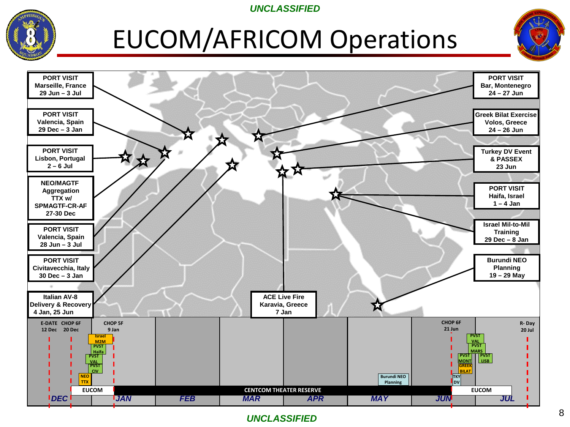

## EUCOM/AFRICOM Operations



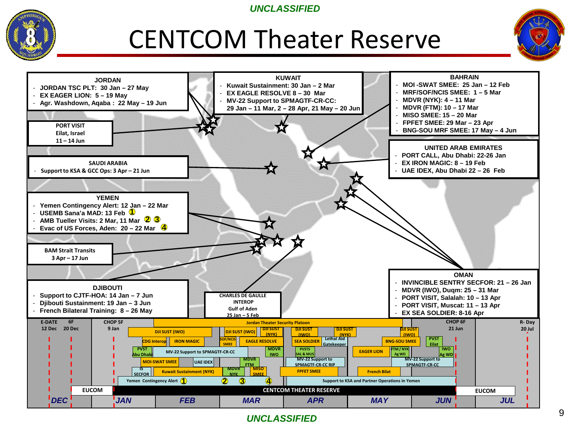

## CENTCOM Theater Reserve



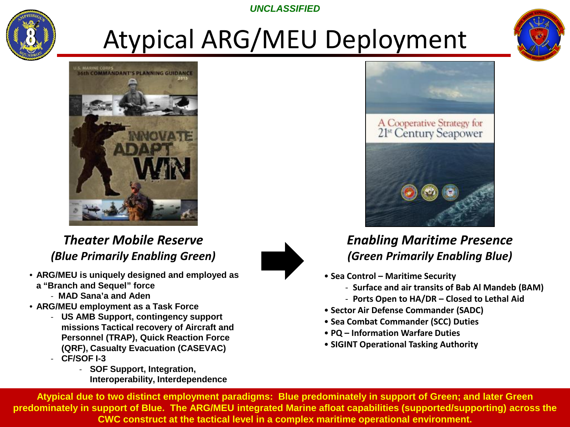

# Atypical ARG/MEU Deployment





*Theater Mobile Reserve (Blue Primarily Enabling Green)*

- **ARG/MEU is uniquely designed and employed as a "Branch and Sequel" force**
	- **MAD Sana'a and Aden**
- **ARG/MEU employment as a Task Force**
	- **US AMB Support, contingency support missions Tactical recovery of Aircraft and Personnel (TRAP), Quick Reaction Force (QRF), Casualty Evacuation (CASEVAC)** - **CF/SOF I-3** 
		- **SOF Support, Integration, Interoperability, Interdependence**





### *Enabling Maritime Presence (Green Primarily Enabling Blue)*

- **Sea Control – Maritime Security**
	- **Surface and air transits of Bab Al Mandeb (BAM)**
	- **Ports Open to HA/DR – Closed to Lethal Aid**
- **Sector Air Defense Commander (SADC)**
- **Sea Combat Commander (SCC) Duties**
- **PQ – Information Warfare Duties**
- **SIGINT Operational Tasking Authority**

10 **CWC construct at the tactical level in a complex maritime operational environment. Atypical due to two distinct employment paradigms: Blue predominately in support of Green; and later Green predominately in support of Blue. The ARG/MEU integrated Marine afloat capabilities (supported/supporting) across the**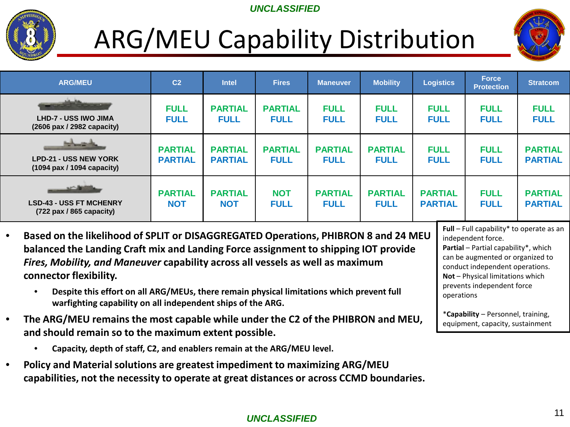

## ARG/MEU Capability Distribution



| <b>ARG/MEU</b>                                                                     | C <sub>2</sub>                   | <b>Intel</b>                     | <b>Fires</b>                  | <b>Maneuver</b>               | <b>Mobility</b>               | <b>Logistics</b>                 | <b>Force</b><br><b>Protection</b> | <b>Stratcom</b>                  |
|------------------------------------------------------------------------------------|----------------------------------|----------------------------------|-------------------------------|-------------------------------|-------------------------------|----------------------------------|-----------------------------------|----------------------------------|
| وفاسعتم<br>LHD-7 - USS IWO JIMA<br>(2606 pax / 2982 capacity)                      | <b>FULL</b><br><b>FULL</b>       | <b>PARTIAL</b><br><b>FULL</b>    | <b>PARTIAL</b><br><b>FULL</b> | <b>FULL</b><br><b>FULL</b>    | <b>FULL</b><br><b>FULL</b>    | <b>FULL</b><br><b>FULL</b>       | <b>FULL</b><br><b>FULL</b>        | <b>FULL</b><br><b>FULL</b>       |
| <b>The Company's</b><br><b>LPD-21 - USS NEW YORK</b><br>(1094 pax / 1094 capacity) | <b>PARTIAL</b><br><b>PARTIAL</b> | <b>PARTIAL</b><br><b>PARTIAL</b> | <b>PARTIAL</b><br><b>FULL</b> | <b>PARTIAL</b><br><b>FULL</b> | <b>PARTIAL</b><br><b>FULL</b> | <b>FULL</b><br><b>FULL</b>       | <b>FULL</b><br><b>FULL</b>        | <b>PARTIAL</b><br><b>PARTIAL</b> |
| الكسماء<br><b>LSD-43 - USS FT MCHENRY</b><br>(722 pax / 865 capacity)              | <b>PARTIAL</b><br><b>NOT</b>     | <b>PARTIAL</b><br><b>NOT</b>     | <b>NOT</b><br><b>FULL</b>     | <b>PARTIAL</b><br><b>FULL</b> | <b>PARTIAL</b><br><b>FULL</b> | <b>PARTIAL</b><br><b>PARTIAL</b> | <b>FULL</b><br><b>FULL</b>        | <b>PARTIAL</b><br><b>PARTIAL</b> |

- **Based on the likelihood of SPLIT or DISAGGREGATED Operations, PHIBRON 8 and 24 MEU balanced the Landing Craft mix and Landing Force assignment to shipping IOT provide**  *Fires, Mobility, and Maneuver* **capability across all vessels as well as maximum connector flexibility.** 
	- **Despite this effort on all ARG/MEUs, there remain physical limitations which prevent full warfighting capability on all independent ships of the ARG.**
- **The ARG/MEU remains the most capable while under the C2 of the PHIBRON and MEU, and should remain so to the maximum extent possible.**
	- **Capacity, depth of staff, C2, and enablers remain at the ARG/MEU level.**
- **Policy and Material solutions are greatest impediment to maximizing ARG/MEU capabilities, not the necessity to operate at great distances or across CCMD boundaries.**

**Full** – Full capability\* to operate as an independent force.

**Partial** – Partial capability\*, which can be augmented or organized to conduct independent operations. **Not** – Physical limitations which prevents independent force operations

\***Capability** – Personnel, training, equipment, capacity, sustainment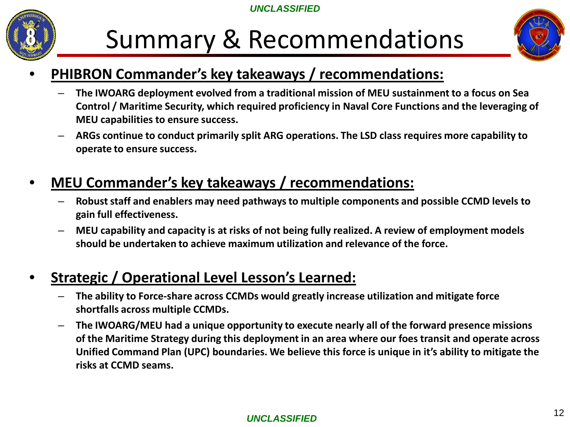

## Summary & Recommendations



### • **PHIBRON Commander's key takeaways / recommendations:**

- **The IWOARG deployment evolved from a traditional mission of MEU sustainment to a focus on Sea Control / Maritime Security, which required proficiency in Naval Core Functions and the leveraging of MEU capabilities to ensure success.**
- **ARGs continue to conduct primarily split ARG operations. The LSD class requires more capability to operate to ensure success.**

### • **MEU Commander's key takeaways / recommendations:**

- **Robust staff and enablers may need pathways to multiple components and possible CCMD levels to gain full effectiveness.**
- **MEU capability and capacity is at risks of not being fully realized. A review of employment models should be undertaken to achieve maximum utilization and relevance of the force.**

### • **Strategic / Operational Level Lesson's Learned:**

- **The ability to Force-share across CCMDs would greatly increase utilization and mitigate force shortfalls across multiple CCMDs.**
- **The IWOARG/MEU had a unique opportunity to execute nearly all of the forward presence missions of the Maritime Strategy during this deployment in an area where our foes transit and operate across Unified Command Plan (UPC) boundaries. We believe this force is unique in it's ability to mitigate the risks at CCMD seams.**